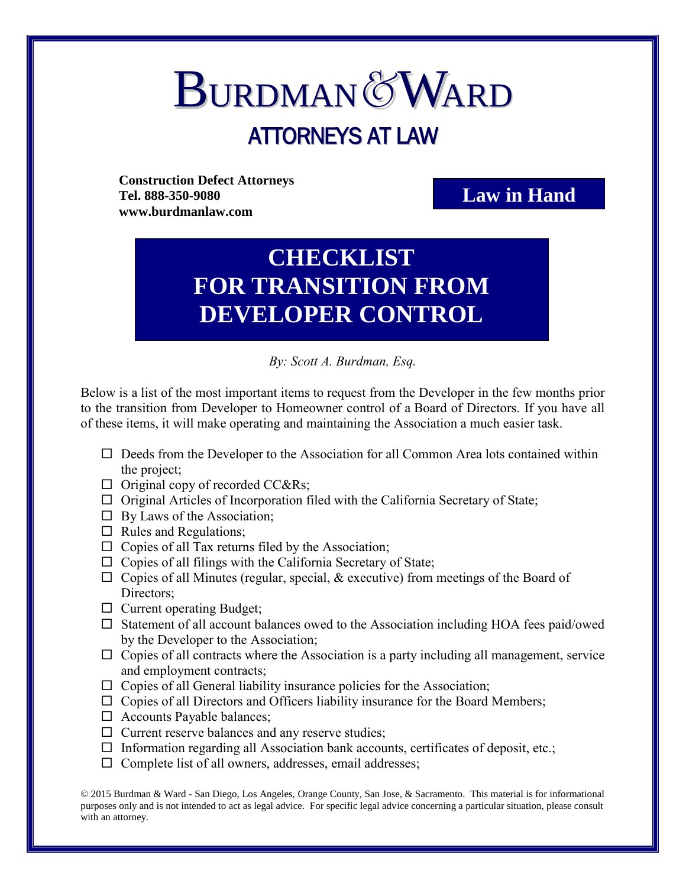## **BURDMAN&WARD** ATTORNEYS AT LAW

**Construction Defect Attorneys Tel. 888-350-9080 www.burdmanlaw.com**

## **Law in Hand**

## **CHECKLIST FOR TRANSITION FROM DEVELOPER CONTROL**

*By: Scott A. Burdman, Esq.*

Below is a list of the most important items to request from the Developer in the few months prior to the transition from Developer to Homeowner control of a Board of Directors. If you have all of these items, it will make operating and maintaining the Association a much easier task.

- $\Box$  Deeds from the Developer to the Association for all Common Area lots contained within the project;
- $\Box$  Original copy of recorded CC&Rs;
- $\Box$  Original Articles of Incorporation filed with the California Secretary of State;
- $\Box$  By Laws of the Association;
- $\Box$  Rules and Regulations;
- $\Box$  Copies of all Tax returns filed by the Association;
- $\Box$  Copies of all filings with the California Secretary of State;
- $\Box$  Copies of all Minutes (regular, special, & executive) from meetings of the Board of Directors;
- $\Box$  Current operating Budget;
- $\square$  Statement of all account balances owed to the Association including HOA fees paid/owed by the Developer to the Association;
- $\Box$  Copies of all contracts where the Association is a party including all management, service and employment contracts;
- $\Box$  Copies of all General liability insurance policies for the Association;
- $\Box$  Copies of all Directors and Officers liability insurance for the Board Members;
- $\Box$  Accounts Payable balances;
- $\Box$  Current reserve balances and any reserve studies;
- $\Box$  Information regarding all Association bank accounts, certificates of deposit, etc.;
- $\Box$  Complete list of all owners, addresses, email addresses;

© 2015 Burdman & Ward - San Diego, Los Angeles, Orange County, San Jose, & Sacramento. This material is for informational purposes only and is not intended to act as legal advice. For specific legal advice concerning a particular situation, please consult with an attorney.